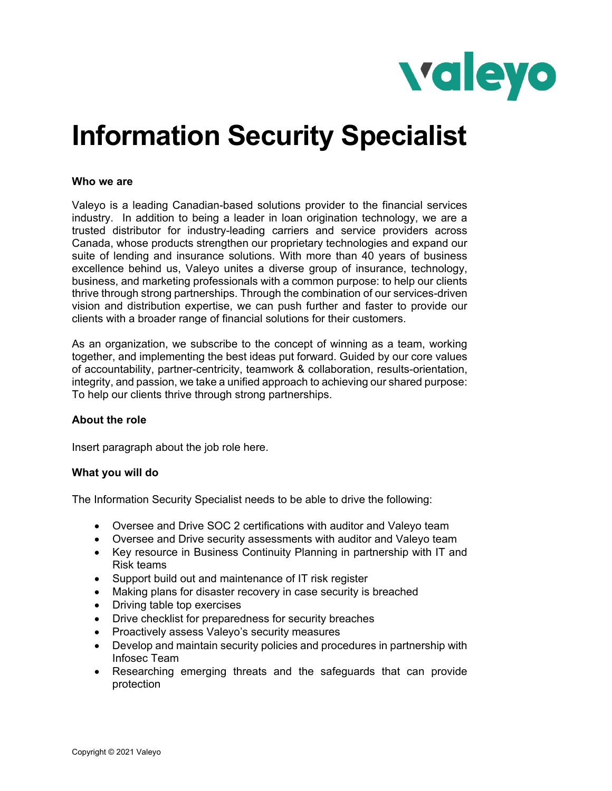

# **Information Security Specialist**

### **Who we are**

Valeyo is a leading Canadian-based solutions provider to the financial services industry. In addition to being a leader in loan origination technology, we are a trusted distributor for industry-leading carriers and service providers across Canada, whose products strengthen our proprietary technologies and expand our suite of lending and insurance solutions. With more than 40 years of business excellence behind us, Valeyo unites a diverse group of insurance, technology, business, and marketing professionals with a common purpose: to help our clients thrive through strong partnerships. Through the combination of our services-driven vision and distribution expertise, we can push further and faster to provide our clients with a broader range of financial solutions for their customers.

As an organization, we subscribe to the concept of winning as a team, working together, and implementing the best ideas put forward. Guided by our core values of accountability, partner-centricity, teamwork & collaboration, results-orientation, integrity, and passion, we take a unified approach to achieving our shared purpose: To help our clients thrive through strong partnerships.

#### **About the role**

Insert paragraph about the job role here.

### **What you will do**

The Information Security Specialist needs to be able to drive the following:

- Oversee and Drive SOC 2 certifications with auditor and Valeyo team
- Oversee and Drive security assessments with auditor and Valeyo team
- Key resource in Business Continuity Planning in partnership with IT and Risk teams
- Support build out and maintenance of IT risk register
- Making plans for disaster recovery in case security is breached
- Driving table top exercises
- Drive checklist for preparedness for security breaches
- Proactively assess Valeyo's security measures
- Develop and maintain security policies and procedures in partnership with Infosec Team
- Researching emerging threats and the safeguards that can provide protection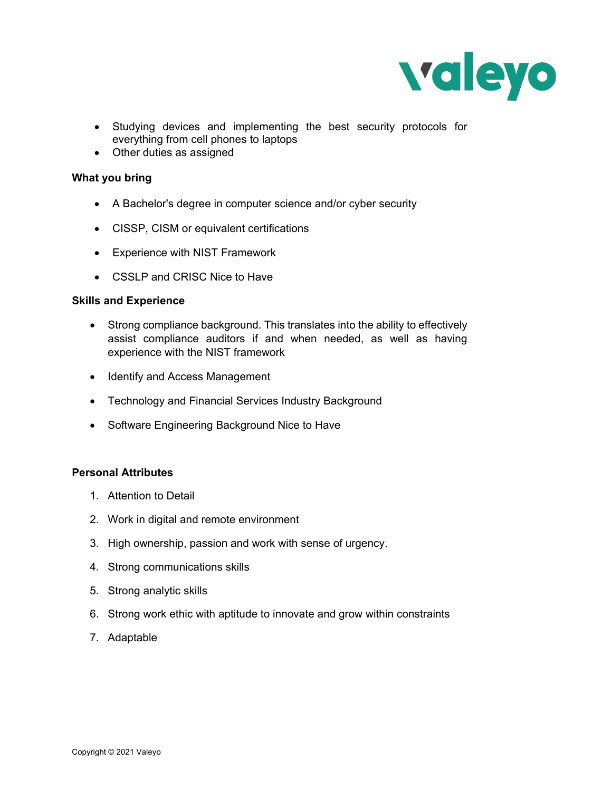

- Studying devices and implementing the best security protocols for everything from cell phones to laptops
- Other duties as assigned

### **What you bring**

- A Bachelor's degree in computer science and/or cyber security
- CISSP, CISM or equivalent certifications
- Experience with NIST Framework
- CSSLP and CRISC Nice to Have

### **Skills and Experience**

- Strong compliance background. This translates into the ability to effectively assist compliance auditors if and when needed, as well as having experience with the NIST framework
- Identify and Access Management
- Technology and Financial Services Industry Background
- Software Engineering Background Nice to Have

# **Personal Attributes**

- 1. Attention to Detail
- 2. Work in digital and remote environment
- 3. High ownership, passion and work with sense of urgency.
- 4. Strong communications skills
- 5. Strong analytic skills
- 6. Strong work ethic with aptitude to innovate and grow within constraints
- 7. Adaptable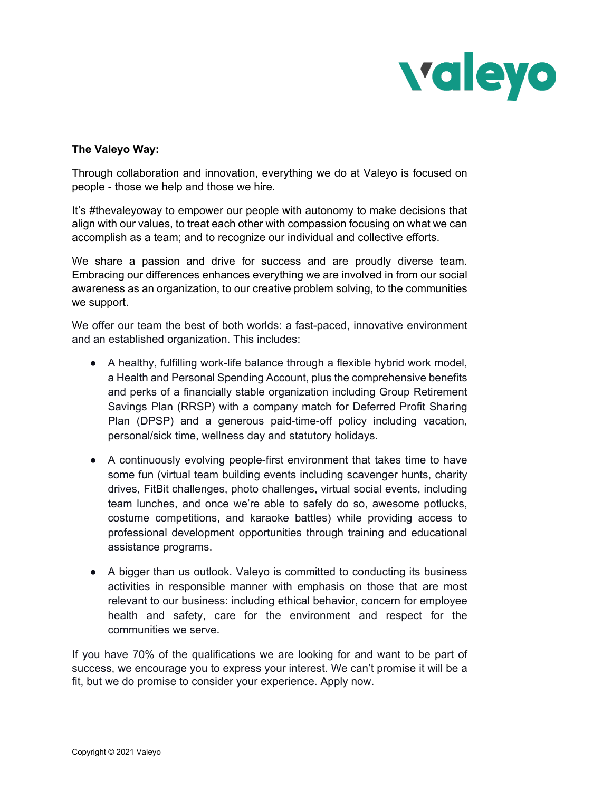

# **The Valeyo Way:**

Through collaboration and innovation, everything we do at Valeyo is focused on people - those we help and those we hire.

It's #thevaleyoway to empower our people with autonomy to make decisions that align with our values, to treat each other with compassion focusing on what we can accomplish as a team; and to recognize our individual and collective efforts.

We share a passion and drive for success and are proudly diverse team. Embracing our differences enhances everything we are involved in from our social awareness as an organization, to our creative problem solving, to the communities we support.

We offer our team the best of both worlds: a fast-paced, innovative environment and an established organization. This includes:

- A healthy, fulfilling work-life balance through a flexible hybrid work model, a Health and Personal Spending Account, plus the comprehensive benefits and perks of a financially stable organization including Group Retirement Savings Plan (RRSP) with a company match for Deferred Profit Sharing Plan (DPSP) and a generous paid-time-off policy including vacation, personal/sick time, wellness day and statutory holidays.
- A continuously evolving people-first environment that takes time to have some fun (virtual team building events including scavenger hunts, charity drives, FitBit challenges, photo challenges, virtual social events, including team lunches, and once we're able to safely do so, awesome potlucks, costume competitions, and karaoke battles) while providing access to professional development opportunities through training and educational assistance programs.
- A bigger than us outlook. Valeyo is committed to conducting its business activities in responsible manner with emphasis on those that are most relevant to our business: including ethical behavior, concern for employee health and safety, care for the environment and respect for the communities we serve.

If you have 70% of the qualifications we are looking for and want to be part of success, we encourage you to express your interest. We can't promise it will be a fit, but we do promise to consider your experience. Apply now.